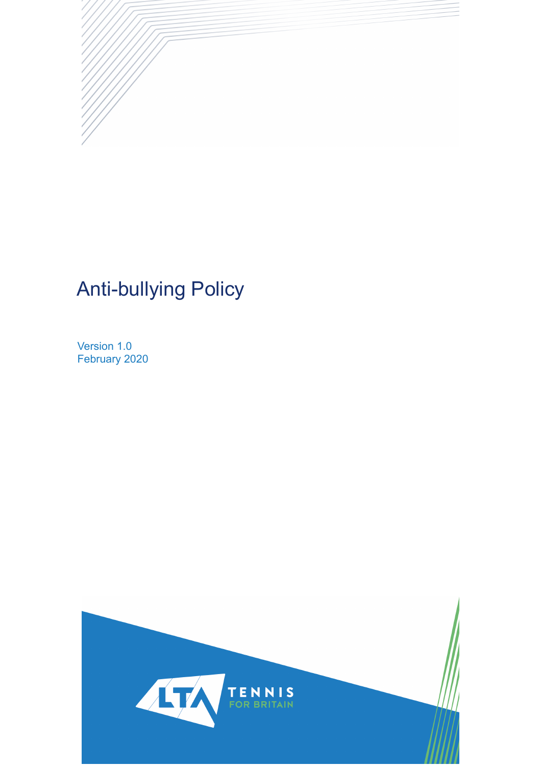

# Anti-bullying Policy

Version 1.0 February 2020

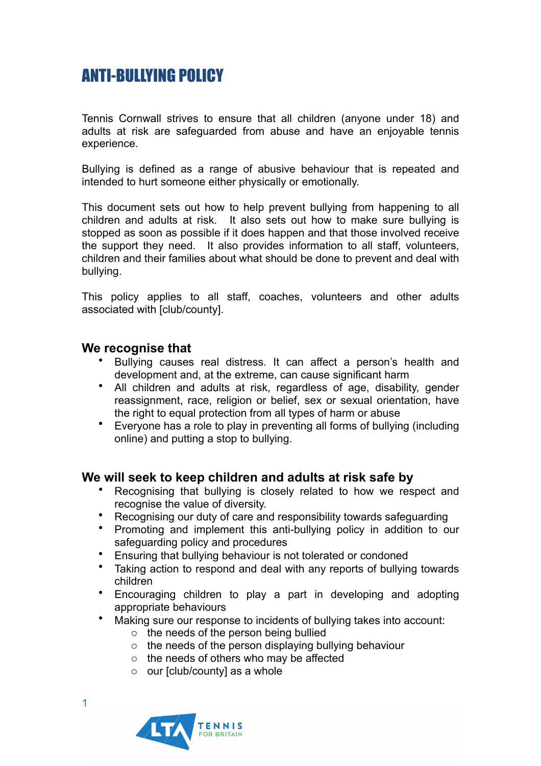# ANTI-BULLYING POLICY

Tennis Cornwall strives to ensure that all children (anyone under 18) and adults at risk are safeguarded from abuse and have an enjoyable tennis experience.

Bullying is defined as a range of abusive behaviour that is repeated and intended to hurt someone either physically or emotionally.

This document sets out how to help prevent bullying from happening to all children and adults at risk. It also sets out how to make sure bullying is stopped as soon as possible if it does happen and that those involved receive the support they need. It also provides information to all staff, volunteers, children and their families about what should be done to prevent and deal with bullying.

This policy applies to all staff, coaches, volunteers and other adults associated with [club/county].

#### **We recognise that**

- Bullying causes real distress. It can affect a person's health and development and, at the extreme, can cause significant harm
- All children and adults at risk, regardless of age, disability, gender reassignment, race, religion or belief, sex or sexual orientation, have the right to equal protection from all types of harm or abuse
- Everyone has a role to play in preventing all forms of bullying (including online) and putting a stop to bullying.

#### **We will seek to keep children and adults at risk safe by**

- Recognising that bullying is closely related to how we respect and recognise the value of diversity.
- Recognising our duty of care and responsibility towards safeguarding
- Promoting and implement this anti-bullying policy in addition to our safeguarding policy and procedures
- Ensuring that bullying behaviour is not tolerated or condoned
- Taking action to respond and deal with any reports of bullying towards children
- Encouraging children to play a part in developing and adopting appropriate behaviours
- Making sure our response to incidents of bullying takes into account:
	- o the needs of the person being bullied
	- o the needs of the person displaying bullying behaviour
	- o the needs of others who may be affected
	- $\circ$  our [club/county] as a whole

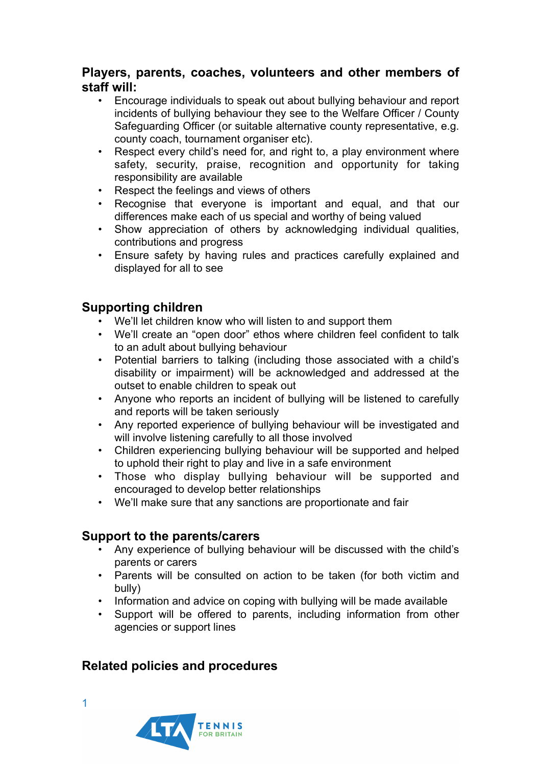#### **Players, parents, coaches, volunteers and other members of staff will:**

- Encourage individuals to speak out about bullying behaviour and report incidents of bullying behaviour they see to the Welfare Officer / County Safeguarding Officer (or suitable alternative county representative, e.g. county coach, tournament organiser etc).
- Respect every child's need for, and right to, a play environment where safety, security, praise, recognition and opportunity for taking responsibility are available
- Respect the feelings and views of others
- Recognise that everyone is important and equal, and that our differences make each of us special and worthy of being valued
- Show appreciation of others by acknowledging individual qualities, contributions and progress
- Ensure safety by having rules and practices carefully explained and displayed for all to see

# **Supporting children**

- We'll let children know who will listen to and support them
- We'll create an "open door" ethos where children feel confident to talk to an adult about bullying behaviour
- Potential barriers to talking (including those associated with a child's disability or impairment) will be acknowledged and addressed at the outset to enable children to speak out
- Anyone who reports an incident of bullying will be listened to carefully and reports will be taken seriously
- Any reported experience of bullying behaviour will be investigated and will involve listening carefully to all those involved
- Children experiencing bullying behaviour will be supported and helped to uphold their right to play and live in a safe environment
- Those who display bullying behaviour will be supported and encouraged to develop better relationships
- We'll make sure that any sanctions are proportionate and fair

## **Support to the parents/carers**

- Any experience of bullying behaviour will be discussed with the child's parents or carers
- Parents will be consulted on action to be taken (for both victim and bully)
- Information and advice on coping with bullying will be made available
- Support will be offered to parents, including information from other agencies or support lines

## **Related policies and procedures**